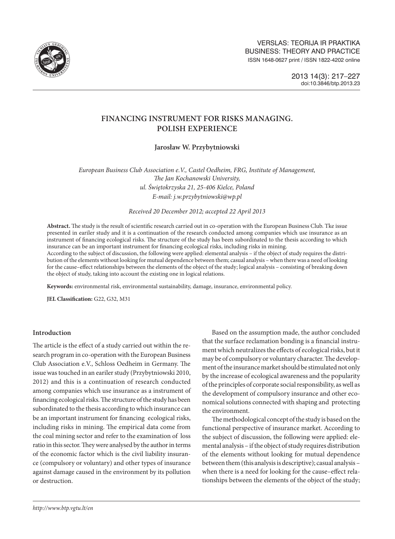

# **FINANCING INSTRUMENT FOR RISKS MANAGING. POLISH EXPERIENCE**

**Jarosław W. Przybytniowski**

*European Business Club Association e.V., Castel Oedheim, FRG, Institute of Management, The Jan Kochanowski University, ul. Świętokrzyska 21, 25-406 Kielce, Poland E-mail: [j.w.przybytniowski@wp.pl](mailto:j.w.przybytniowski@wp.pl)*

*Received 20 December 2012; accepted 22 April 2013*

**Abstract.** The study is the result of scientific research carried out in co-operation with the European Business Club. Tke issue presented in eariler study and it is a continuation of the research conducted among companies which use insurance as an instrument of financing ecological risks. The structure of the study has been subordinated to the thesis according to which insurance can be an important instrument for financing ecological risks, including risks in mining.

According to the subject of discussion, the following were applied: elemental analysis – if the object of study requires the distribution of the elements without looking for mutual dependence between them; casual analysis – when there was a need of looking for the cause–effect relationships between the elements of the object of the study; logical analysis – consisting of breaking down the object of study, taking into account the existing one in logical relations.

**Keywords:** environmental risk, environmental sustainability, damage, insurance, environmental policy.

**JEL Classification:** G22, G32, M31

### **Introduction**

The article is the effect of a study carried out within the research program in co-operation with the European Business Club Association e.V., Schloss Oedheim in Germany. The issue was touched in an eariler study (Przybytniowski 2010, 2012) and this is a continuation of research conducted among companies which use insurance as a instrument of financing ecological risks. The structure of the study has been subordinated to the thesis according to which insurance can be an important instrument for financing ecological risks, including risks in mining. The empirical data come from the coal mining sector and refer to the examination of loss ratio in this sector. They were analysed by the author in terms of the economic factor which is the civil liability insurance (compulsory or voluntary) and other types of insurance against damage caused in the environment by its pollution or destruction.

Based on the assumption made, the author concluded that the surface reclamation bonding is a financial instrument which neutralizes the effects of ecological risks, but it may be of compulsory or voluntary character. The development of the insurance market should be stimulated not only by the increase of ecological awareness and the popularity of the principles of corporate social responsibility, as well as the development of compulsory insurance and other economical solutions connected with shaping and protecting the environment.

The methodological concept of the study is based on the functional perspective of insurance market. According to the subject of discussion, the following were applied: elemental analysis – if the object of study requires distribution of the elements without looking for mutual dependence between them (this analysis is descriptive); casual analysis – when there is a need for looking for the cause–effect relationships between the elements of the object of the study;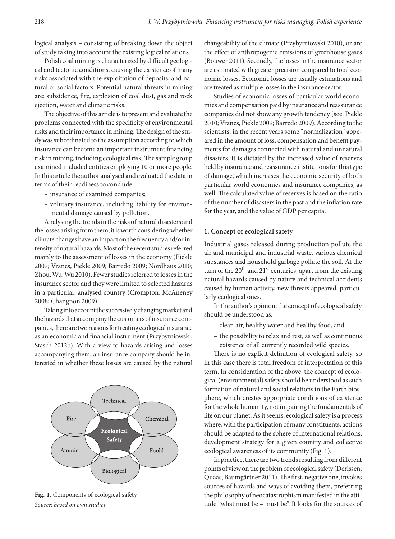logical analysis – consisting of breaking down the object of study taking into account the existing logical relations.

Polish coal mining is characterized by difficult geological and tectonic conditions, causing the existence of many risks associated with the exploitation of deposits, and natural or social factors. Potential natural threats in mining are: subsidence, fire, explosion of coal dust, gas and rock ejection, water and climatic risks.

The objective of this article is to present and evaluate the problems connected with the specificity of environmental risks and their importance in mining. The design of the study was subordinated to the assumption according to which insurance can become an important instrument financing risk in mining, including ecological risk. The sample group examined included entities employing 10 or more people. In this article the author analysed and evaluated the data in terms of their readiness to conclude:

- insurance of examined companies;
- volutary insurance, including liability for environmental damage caused by pollution.

Analysing the trends in the risks of natural disasters and the losses arising from them, it is worth considering whether climate changes have an impact on the frequency and/or intensity of natural hazards. Most of the recent studies referred mainly to the assessment of losses in the economy (Piekle 2007; Vranes, Piekle 2009; Barredo 2009; Nordhaus 2010; Zhou, Wu, Wu 2010). Fewer studies referred to losses in the insurance sector and they were limited to selected hazards in a particular, analysed country (Crompton, McAneney 2008; Changnon 2009).

Taking into account the successively changing market and the hazards that accompany the customers of insurance companies, there are two reasons for treating ecological insurance as an economic and financial instrument (Przybytniowski, Stasch 2012b). With a view to hazards arising and losses accompanying them, an insurance company should be interested in whether these losses are caused by the natural



**Fig. 1.** Components of ecological safety *Source: based on own studies*

changeability of the climate (Przybytniowski 2010), or are the effect of anthropogenic emissions of greenhouse gases (Bouwer 2011). Secondly, the losses in the insurance sector are estimated with greater precision compared to total economic losses. Economic losses are usually estimations and are treated as multiple losses in the insurance sector.

Studies of economic losses of particular world economies and compensation paid by insurance and reassurance companies did not show any growth tendency (see: Piekle 2010; Vranes, Piekle 2009; Barredo 2009). According to the scientists, in the recent years some "normalization" appeared in the amount of loss, compensation and benefit payments for damages connected with natural and unnatural disasters. It is dictated by the increased value of reserves held by insurance and reassurance institutions for this type of damage, which increases the economic security of both particular world economies and insurance companies, as well. The calculated value of reserves is based on the ratio of the number of disasters in the past and the inflation rate for the year, and the value of GDP per capita.

#### **1. Concept of ecological safety**

Industrial gases released during production pollute the air and municipal and industrial waste, various chemical substances and household garbage pollute the soil. At the turn of the  $20^{th}$  and  $21^{st}$  centuries, apart from the existing natural hazards caused by nature and technical accidents caused by human activity, new threats appeared, particularly ecological ones.

In the author's opinion, the concept of ecological safety should be understood as:

- clean air, healthy water and healthy food, and
- the possibility to relax and rest, as well as continuous existence of all currently recorded wild species.

There is no explicit definition of ecological safety, so in this case there is total freedom of interpretation of this term. In consideration of the above, the concept of ecological (environmental) safety should be understood as such formation of natural and social relations in the Earth biosphere, which creates appropriate conditions of existence for the whole humanity, not impairing the fundamentals of life on our planet. As it seems, ecological safety is a process where, with the participation of many constituents, actions should be adapted to the sphere of international relations, development strategy for a given country and collective ecological awareness of its community (Fig. 1).

In practice, there are two trends resulting from different points of view on the problem of ecological safety (Derissen, Quaas, Baumgärtner 2011). The first, negative one, invokes sources of hazards and ways of avoiding them, preferring the philosophy of neocatastrophism manifested in the attitude "what must be – must be". It looks for the sources of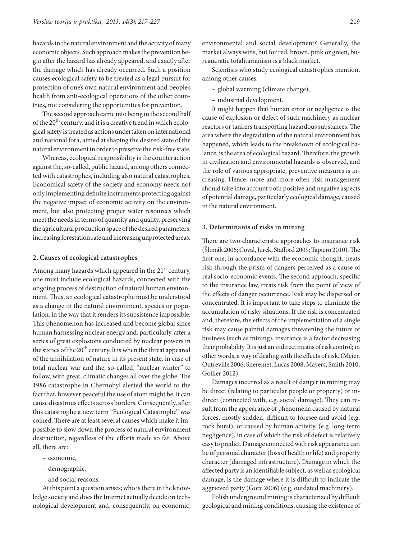hazards in the natural environment and the activity of many economic objects. Such approach makes the prevention begin after the hazard has already appeared, and exactly after the damage which has already occurred. Such a position causes ecological safety to be treated as a legal pursuit for protection of one's own natural environment and people's health from anti-ecological operations of the other countries**,** not considering the opportunities for prevention.

The second approach came into being in the second half of the 20<sup>th</sup> century, and it is a creative trend in which ecological safety is treated as actions undertaken on international and national fora, aimed at shaping the desired state of the natural environment in order to preserve the risk-free state.

Whereas, ecological responsibility is the counteraction against the, so-called, public hazard, among others connected with catastrophes, including also natural catastrophes. Economical safety of the society and economy needs not only implementing definite instruments protecting against the negative impact of economic activity on the environment, but also protecting proper water resources which meet the needs in terms of quantity and quality, preserving the agricultural production space of the desired parameters, increasing forestation rate and increasing unprotected areas.

#### **2. Causes of ecological catastrophes**

Among many hazards which appeared in the 21<sup>st</sup> century, one must include ecological hazards, connected with the ongoing process of destruction of natural human environment. Thus, an ecological catastrophe must be understood as a change in the natural environment, species or population, in the way that it renders its subsistence impossible. This phenomenon has increased and become global since human harnessing nuclear energy and, particularly, after a series of great explosions conducted by nuclear powers in the sixties of the 20<sup>th</sup> century. It is when the threat appeared of the annihilation of nature in its present state, in case of total nuclear war and the, so-called, "nuclear winter" to follow, with great, climatic changes all over the globe. The 1986 catastrophe in Chernobyl alerted the world to the fact that, however peaceful the use of atom might be, it can cause disastrous effects across borders. Consequently, after this catastrophe a new term "Ecological Catastrophe" was coined. There are at least several causes which make it impossible to slow down the process of natural environment destruction, regardless of the efforts made so far. Above all, there are:

- economic,
- demographic,
- and social reasons.

At this point a question arises; who is there in the knowledge society and does the Internet actually decide on technological development and, consequently, on economic, environmental and social development? Generally, the market always wins, but for red, brown, pink or green, bureaucratic totalitarianism is a black market.

Scientists who study ecological catastrophes mention, among other causes:

- global warming (climate change),
- industrial development.

It might happen that human error or negligence is the cause of explosion or defect of such machinery as nuclear reactors or tankers transporting hazardous substances. The area where the degradation of the natural environment has happened, which leads to the breakdown of ecological balance, is the area of ecological hazard. Therefore, the growth in civilization and environmental hazards is observed, and the role of various appropriate, preventive measures is increasing. Hence, more and more often risk management should take into account both positive and negative aspects of potential damage, particularly ecological damage, caused in the natural environment.

#### **3. Determinants of risks in mining**

There are two characteristic approaches to insurance risk (Šlimák 2006; Coval, Jurek, Stafford 2009; Tapiero 2010). The first one, in accordance with the economic thought, treats risk through the prism of dangers perceived as a cause of real socio-economic events. The second approach, specific to the insurance law, treats risk from the point of view of the effects of danger occurrence. Risk may be dispersed or concentrated. It is important to take steps to eliminate the accumulation of risky situations. If the risk is concentrated and, therefore, the effects of the implementation of a single risk may cause painful damages threatening the future of business (such as mining), insurance is a factor decreasing their probability. It is just an indirect means of risk control; in other words, a way of dealing with the effects of risk. (Meier, Outreville 2006; Sheremet, Lucas 2008; Mayers, Smith 2010; Gollier 2012).

Damages incurred as a result of danger in mining may be direct (relating to particular people or property) or indirect (connected with, e.g. social damage). They can result from the appearance of phenomena caused by natural forces, mostly sudden, difficult to foresee and avoid (e.g. rock burst), or caused by human activity, (e.g. long-term negligence), in case of which the risk of defect is relatively easy to predict. Damage connected with risk appearance can be of personal character (loss of health or life) and property character (damaged infrastructure). Damage in which the affected party is an identifiable subject, as well as ecological damage, is the damage where it is difficult to indicate the aggrieved party (Gore 2006) (e.g. outdated machinery).

Polish underground mining is characterized by difficult geological and mining conditions, causing the existence of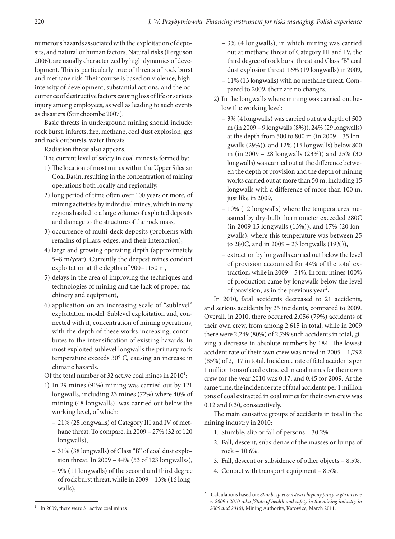numerous hazards associated with the exploitation of deposits, and natural or human factors. Natural risks (Ferguson 2006), are usually characterized by high dynamics of development. This is particularly true of threats of rock burst and methane risk. Their course is based on violence, highintensity of development, substantial actions, and the occurrence of destructive factors causing loss of life or serious injury among employees, as well as leading to such events as disasters (Stinchcombe 2007).

Basic threats in underground mining should include: rock burst, infarcts, fire, methane, coal dust explosion, gas and rock outbursts, water threats.

Radiation threat also appears.

The current level of safety in coal mines is formed by:

- 1) The location of most mines within the Upper Silesian Coal Basin, resulting in the concentration of mining operations both locally and regionally,
- 2) long period of time often over 100 years or more, of mining activities by individual mines, which in many regions has led to a large volume of exploited deposits and damage to the structure of the rock mass,
- 3) occurrence of multi-deck deposits (problems with remains of pillars, edges, and their interaction),
- 4) large and growing operating depth (approximately 5–8 m/year). Currently the deepest mines conduct exploitation at the depths of 900–1150 m,
- 5) delays in the area of improving the techniques and technologies of mining and the lack of proper machinery and equipment,
- 6) application on an increasing scale of "sublevel" exploitation model. Sublevel exploitation and, connected with it, concentration of mining operations, with the depth of these works increasing, contributes to the intensification of existing hazards. In most exploited sublevel longwalls the primary rock temperature exceeds 30° C, causing an increase in climatic hazards.

Of the total number of 32 active coal mines in  $2010^1$ :

- 1) In 29 mines (91%) mining was carried out by 121 longwalls, including 23 mines (72%) where 40% of mining (48 longwalls) was carried out below the working level, of which:
	- 21% (25 longwalls) of Category III and IV of methane threat. To compare, in 2009 – 27% (32 of 120 longwalls),
	- 31% (38 longwalls) of Class "B" of coal dust explosion threat. In 2009 – 44% (53 of 123 longwallss),
	- 9% (11 longwalls) of the second and third degree of rock burst threat, while in 2009 – 13% (16 longwalls),
- 3% (4 longwalls), in which mining was carried out at methane threat of Category III and IV, the third degree of rock burst threat and Class "B" coal dust explosion threat. 16% (19 longwalls) in 2009,
- 11% (13 longwalls) with no methane threat. Compared to 2009, there are no changes.
- 2) In the longwalls where mining was carried out below the working level:
	- 3% (4 longwalls) was carried out at a depth of 500 m (in 2009 – 9 longwalls (8%)), 24% (29 longwalls) at the depth from 500 to 800 m (in 2009 – 35 longwalls (29%)), and 12% (15 longwalls) below 800 m (in 2009 – 28 longwalls (23%)) and 25% (30 longwalls) was carried out at the difference between the depth of provision and the depth of mining works carried out at more than 50 m, including 15 longwalls with a difference of more than 100 m, just like in 2009,
	- 10% (12 longwalls) where the temperatures measured by dry-bulb thermometer exceeded 280C (in 2009 15 longwalls (13%)), and 17% (20 longwalls), where this temperature was between 25 to 280C, and in 2009 – 23 longwalls (19%)),
	- extraction by longwalls carried out below the level of provision accounted for 44% of the total extraction, while in 2009 – 54%. In four mines 100% of production came by longwalls below the level of provision, as in the previous year<sup>2</sup>.

In 2010, fatal accidents decreased to 21 accidents, and serious accidents by 25 incidents, compared to 2009. Overall, in 2010, there occurred 2,056 (79%) accidents of their own crew, from among 2,615 in total, while in 2009 there were 2,249 (80%) of 2,799 such accidents in total, giving a decrease in absolute numbers by 184. The lowest accident rate of their own crew was noted in 2005 – 1,792 (85%) of 2,117 in total. Incidence rate of fatal accidents per 1 million tons of coal extracted in coal mines for their own crew for the year 2010 was 0.17, and 0.45 for 2009. At the same time, the incidence rate of fatal accidents per 1 million tons of coal extracted in coal mines for their own crew was 0.12 and 0.30, consecutively.

The main causative groups of accidents in total in the mining industry in 2010:

- 1. Stumble, slip or fall of persons 30.2%.
- 2. Fall, descent, subsidence of the masses or lumps of rock – 10.6%.
- 3. Fall, descent or subsidence of other objects 8.5%.
- 4. Contact with transport equipment 8.5%.

<sup>2</sup> Calculations based on: *Stan bezpieczeństwa i higieny pracy w górnictwie w 2009 i 2010 roku [State of health and safety in the mining industry in 2009 and 2010],* Mining Authority, Katowice, March 2011.

In 2009, there were 31 active coal mines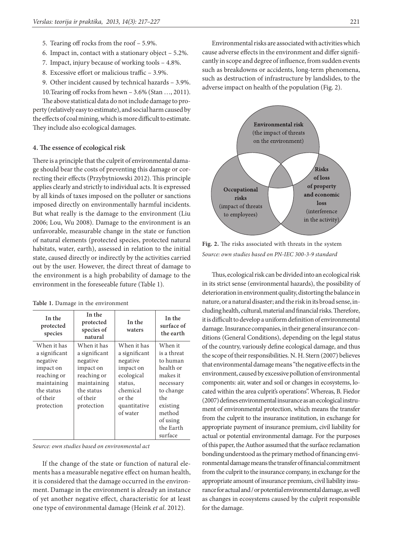- 5. Tearing off rocks from the roof 5.9%.
- 6. Impact in, contact with a stationary object 5.2%.
- 7. Impact, injury because of working tools 4.8%.
- 8. Excessive effort or malicious traffic 3.9%.
- 9. Other incident caused by technical hazards 3.9%.

10.Tearing off rocks from hewn – 3.6% (Stan …, 2011).

The above statistical data do not include damage to property (relatively easy to estimate), and social harm caused by the effects of coal mining, which is more difficult to estimate. They include also ecological damages.

### **4. The essence of ecological risk**

There is a principle that the culprit of environmental damage should bear the costs of preventing this damage or correcting their effects (Przybytniowski 2012). This principle applies clearly and strictly to individual acts. It is expressed by all kinds of taxes imposed on the polluter or sanctions imposed directly on environmentally harmful incidents. But what really is the damage to the environment (Liu 2006; Lou, Wu 2008). Damage to the environment is an unfavorable, measurable change in the state or function of natural elements (protected species, protected natural habitats, water, earth), assessed in relation to the initial state, caused directly or indirectly by the activities carried out by the user. However, the direct threat of damage to the environment is a high probability of damage to the environment in the foreseeable future (Table 1).

|  |  |  |  |  | Table 1. Damage in the environment |  |
|--|--|--|--|--|------------------------------------|--|
|--|--|--|--|--|------------------------------------|--|

| In the<br>protected<br>species                                                                                              | protected<br>species of<br>natural                                                                                          | In the<br>waters                                                                                                                 | In the<br>surface of<br>the earth                                                                                                                      |
|-----------------------------------------------------------------------------------------------------------------------------|-----------------------------------------------------------------------------------------------------------------------------|----------------------------------------------------------------------------------------------------------------------------------|--------------------------------------------------------------------------------------------------------------------------------------------------------|
| When it has<br>a significant<br>negative<br>impact on<br>reaching or<br>maintaining<br>the status<br>of their<br>protection | When it has<br>a significant<br>negative<br>impact on<br>reaching or<br>maintaining<br>the status<br>of their<br>protection | When it has<br>a significant<br>negative<br>impact on<br>ecological<br>status.<br>chemical<br>or the<br>quantitative<br>of water | When it<br>is a threat<br>to human<br>health or<br>makes it<br>necessary<br>to change<br>the<br>existing<br>method<br>of using<br>the Earth<br>surface |

*Source: own studies based on environmental act*

If the change of the state or function of natural elements has a measurable negative effect on human health, it is considered that the damage occurred in the environment. Damage in the environment is already an instance of yet another negative effect, characteristic for at least one type of environmental damage (Heink *et al*. 2012).

Environmental risks are associated with activities which cause adverse effects in the environment and differ significantly in scope and degree of influence, from sudden events such as breakdowns or accidents, long-term phenomena, such as destruction of infrastructure by landslides, to the adverse impact on health of the population (Fig. 2).



**Fig. 2.** The risks associated with threats in the system *Source: own studies based on PN-IEC 300-3-9 standard*

Thus, ecological risk can be divided into an ecological risk in its strict sense (environmental hazards), the possibility of deterioration in environment quality, distorting the balance in nature, or a natural disaster; and the risk in its broad sense, including health, cultural, material and financial risks. Therefore, it is difficult to develop a uniform definition of environmental damage. Insurance companies, in their general insurance conditions (General Conditions), depending on the legal status of the country, variously define ecological damage, and thus the scope of their responsibilities. N. H. Stern (2007) believes that environmental damage means "the negative effects in the environment, caused by excessive pollution of environmental components: air, water and soil or changes in ecosystems, located within the area culprit's operations". Whereas, B. Fiedor (2007) defines environmental insurance as an ecological instrument of environmental protection, which means the transfer from the culprit to the insurance institution, in exchange for appropriate payment of insurance premium, civil liability for actual or potential environmental damage. For the purposes of this paper, the Author assumed that the surface reclamation bonding understood as the primary method of financing environmental damage means the transfer of financial commitment from the culprit to the insurance company, in exchange for the appropriate amount of insurance premium, civil liability insurance for actual and / or potential environmental damage, as well as changes in ecosystems caused by the culprit responsible for the damage.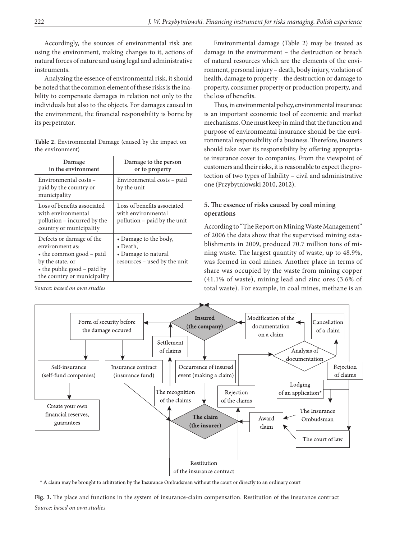Accordingly, the sources of environmental risk are: using the environment, making changes to it, actions of natural forces of nature and using legal and administrative instruments.

Analyzing the essence of environmental risk, it should be noted that the common element of these risks is the inability to compensate damages in relation not only to the individuals but also to the objects. For damages caused in the environment, the financial responsibility is borne by its perpetrator.

| the environment)       |                            |  |  |  |
|------------------------|----------------------------|--|--|--|
| Damage                 | Damage to the person       |  |  |  |
| in the environment     | or to property             |  |  |  |
| Environmental costs -  | Environmental costs – paid |  |  |  |
| paid by the country or | by the unit                |  |  |  |

**Table 2.** Environmental Damage (caused by the impact on the environment)

| in the environment                                                                                                                                                | or to property                                                                                   |
|-------------------------------------------------------------------------------------------------------------------------------------------------------------------|--------------------------------------------------------------------------------------------------|
| Environmental costs -<br>paid by the country or<br>municipality                                                                                                   | Environmental costs – paid<br>by the unit                                                        |
| Loss of benefits associated<br>with environmental<br>pollution – incurred by the<br>country or municipality                                                       | Loss of benefits associated<br>with environmental<br>pollution – paid by the unit                |
| Defects or damage of the<br>environment as:<br>$\bullet$ the common good – paid<br>by the state, or<br>• the public good – paid by<br>the country or municipality | • Damage to the body,<br>$\bullet$ Death,<br>• Damage to natural<br>resources – used by the unit |

*Source: based on own studies*

Environmental damage (Table 2) may be treated as damage in the environment – the destruction or breach of natural resources which are the elements of the environment, personal injury – death, body injury, violation of health, damage to property – the destruction or damage to property, consumer property or production property, and the loss of benefits.

Thus, in environmental policy, environmental insurance is an important economic tool of economic and market mechanisms. One must keep in mind that the function and purpose of environmental insurance should be the environmental responsibility of a business. Therefore, insurers should take over its responsibility by offering appropriate insurance cover to companies. From the viewpoint of customers and their risks, it is reasonable to expect the protection of two types of liability – civil and administrative one (Przybytniowski 2010, 2012).

### **5. The essence of risks caused by coal mining operations**

According to "The Report on Mining Waste Management" of 2006 the data show that the supervised mining establishments in 2009, produced 70.7 million tons of mining waste. The largest quantity of waste, up to 48.9%, was formed in coal mines. Another place in terms of share was occupied by the waste from mining copper (41.1% of waste), mining lead and zinc ores (3.6% of total waste). For example, in coal mines, methane is an



\* A claim may be brought to arbitration by the Insurance Ombudsman without the court or directly to an ordinary court

**Fig. 3.** The place and functions in the system of insurance-claim compensation. Restitution of the insurance contract *Source: based on own studies*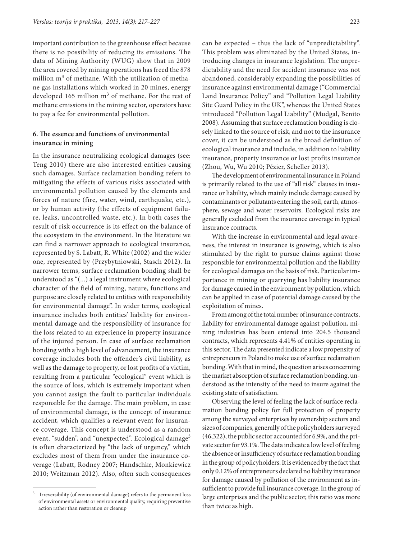important contribution to the greenhouse effect because there is no possibility of reducing its emissions. The data of Mining Authority (WUG) show that in 2009 the area covered by mining operations has freed the 878 million  $m^3$  of methane. With the utilization of methane gas installations which worked in 20 mines, energy developed 165 million  $m<sup>3</sup>$  of methane. For the rest of methane emissions in the mining sector, operators have to pay a fee for environmental pollution.

# **6. The essence and functions of environmental insurance in mining**

In the insurance neutralizing ecological damages (see: Teng 2010) there are also interested entities causing such damages. Surface reclamation bonding refers to mitigating the effects of various risks associated with environmental pollution caused by the elements and forces of nature (fire, water, wind, earthquake, etc.), or by human activity (the effects of equipment failure, leaks, uncontrolled waste, etc.). In both cases the result of risk occurrence is its effect on the balance of the ecosystem in the environment. In the literature we can find a narrower approach to ecological insurance, represented by S. Labatt, R. White (2002) and the wider one, represented by (Przybytniowski, Stasch 2012). In narrower terms, surface reclamation bonding shall be understood as "(...) a legal instrument where ecological character of the field of mining, nature, functions and purpose are closely related to entities with responsibility for environmental damage". In wider terms, ecological insurance includes both entities' liability for environmental damage and the responsibility of insurance for the loss related to an experience in property insurance of the injured person. In case of surface reclamation bonding with a high level of advancement, the insurance coverage includes both the offender's civil liability, as well as the damage to property, or lost profits of a victim, resulting from a particular "ecological" event which is the source of loss, which is extremely important when you cannot assign the fault to particular individuals responsible for the damage. The main problem, in case of environmental damage, is the concept of insurance accident, which qualifies a relevant event for insurance coverage. This concept is understood as a random event, "sudden", and "unexpected". Ecological damage<sup>3</sup> is often characterized by "the lack of urgency," which excludes most of them from under the insurance coverage (Labatt, Rodney 2007; Handschke, Monkiewicz 2010; Weitzman 2012). Also, often such consequences

can be expected – thus the lack of "unpredictability". This problem was eliminated by the United States, introducing changes in insurance legislation. The unpredictability and the need for accident insurance was not abandoned, considerably expanding the possibilities of insurance against environmental damage ("Commercial Land Insurance Policy" and "Pollution Legal Liability Site Guard Policy in the UK", whereas the United States introduced "Pollution Legal Liability" (Mudgal, Benito 2008). Assuming that surface reclamation bonding is closely linked to the source of risk, and not to the insurance cover, it can be understood as the broad definition of ecological insurance and include, in addition to liability insurance, property insurance or lost profits insurance (Zhou, Wu, Wu 2010; Pézier, Scheller 2013).

The development of environmental insurance in Poland is primarily related to the use of "all risk" clauses in insurance or liability, which mainly include damage caused by contaminants or pollutants entering the soil, earth, atmosphere, sewage and water reservoirs. Ecological risks are generally excluded from the insurance coverage in typical insurance contracts.

With the increase in environmental and legal awareness, the interest in insurance is growing, which is also stimulated by the right to pursue claims against those responsible for environmental pollution and the liability for ecological damages on the basis of risk. Particular importance in mining or quarrying has liability insurance for damage caused in the environment by pollution, which can be applied in case of potential damage caused by the exploitation of mines.

From among of the total number of insurance contracts, liability for environmental damage against pollution, mining industries has been entered into 204.5 thousand contracts, which represents 4.41% of entities operating in this sector. The data presented indicate a low propensity of entrepreneurs in Poland to make use of surface reclamation bonding. With that in mind, the question arises concerning the market absorption of surface reclamation bonding, understood as the intensity of the need to insure against the existing state of satisfaction.

Observing the level of feeling the lack of surface reclamation bonding policy for full protection of property among the surveyed enterprises by ownership sectors and sizes of companies, generally of the policyholders surveyed (46,322), the public sector accounted for 6.9%, and the private sector for 93.1%. The data indicate a low level of feeling the absence or insufficiency of surface reclamation bonding in the group of policyholders. It is evidenced by the fact that only 0.12% of entrepreneurs declared no liability insurance for damage caused by pollution of the environment as insufficient to provide full insurance coverage. In the group of large enterprises and the public sector, this ratio was more than twice as high.

Irreversibility (of environmental damage) refers to the permanent loss of environmental assets or environmental quality, requiring preventive action rather than restoration or cleanup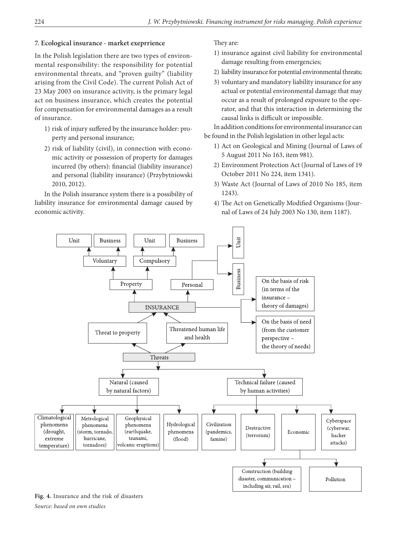# **7. Ecological insurance - market exeprrience**

In the Polish legislation there are two types of environmental responsibility: the responsibility for potential environmental threats, and "proven guilty" (liability arising from the Civil Code). The current Polish Act of 23 May 2003 on insurance activity, is the primary legal act on business insurance, which creates the potential for compensation for environmental damages as a result of insurance.

- 1) risk of injury suffered by the insurance holder: property and personal insurance;
- 2) risk of liability (civil), in connection with economic activity or possession of property for damages incurred (by others): financial (liability insurance) and personal (liability insurance) (Przybytniowski 2010, 2012).

In the Polish insurance system there is a possibility of liability insurance for environmental damage caused by economic activity.

# They are:

- 1) insurance against civil liability for environmental damage resulting from emergencies;
- 2) liability insurance for potential environmental threats;
- 3) voluntary and mandatory liability insurance for any actual or potential environmental damage that may occur as a result of prolonged exposure to the operator, and that this interaction in determining the causal links is difficult or impossible.

In addition conditions for environmental insurance can be found in the Polish legislation in other legal acts:

- 1) Act on Geological and Mining (Journal of Laws of 5 August 2011 No 163, item 981).
- 2) Environment Protection Act (Journal of Laws of 19 October 2011 No 224, item 1341).
- 3) Waste Act (Journal of Laws of 2010 No 185, item 1243).
- 4) The Act on Genetically Modified Organisms (Journal of Laws of 24 July 2003 No 130, item 1187).



**Fig. 4.** Insurance and the risk of disasters *Source: based on own studies*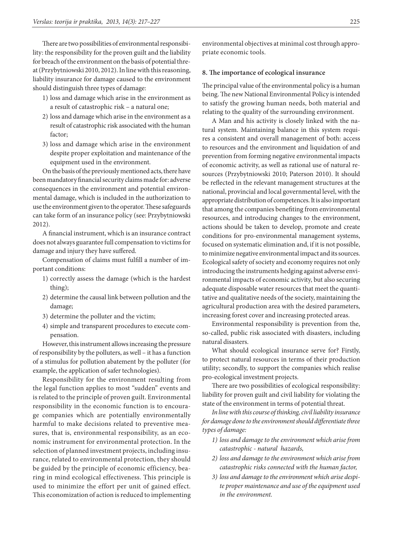There are two possibilities of environmental responsibility: the responsibility for the proven guilt and the liability for breach of the environment on the basis of potential threat (Przybytniowski 2010, 2012). In line with this reasoning, liability insurance for damage caused to the environment should distinguish three types of damage:

- 1) loss and damage which arise in the environment as a result of catastrophic risk – a natural one;
- 2) loss and damage which arise in the environment as a result of catastrophic risk associated with the human factor;
- 3) loss and damage which arise in the environment despite proper exploitation and maintenance of the equipment used in the environment.

On the basis of the previously mentioned acts, there have been mandatory financial security claims made for: adverse consequences in the environment and potential environmental damage, which is included in the authorization to use the environment given to the operator. These safeguards can take form of an insurance policy (see: Przybytniowski 2012).

A financial instrument, which is an insurance contract does not always guarantee full compensation to victims for damage and injury they have suffered.

Compensation of claims must fulfill a number of important conditions:

- 1) correctly assess the damage (which is the hardest thing);
- 2) determine the causal link between pollution and the damage;
- 3) determine the polluter and the victim;
- 4) simple and transparent procedures to execute compensation.

However, this instrument allows increasing the pressure of responsibility by the polluters, as well – it has a function of a stimulus for pollution abatement by the polluter (for example, the application of safer technologies).

Responsibility for the environment resulting from the legal function applies to most "sudden" events and is related to the principle of proven guilt. Environmental responsibility in the economic function is to encourage companies which are potentially environmentally harmful to make decisions related to preventive measures, that is, environmental responsibility, as an economic instrument for environmental protection. In the selection of planned investment projects, including insurance, related to environmental protection, they should be guided by the principle of economic efficiency, bearing in mind ecological effectiveness. This principle is used to minimize the effort per unit of gained effect. This economization of action is reduced to implementing environmental objectives at minimal cost through appropriate economic tools.

### **8. The importance of ecological insurance**

The principal value of the environmental policy is a human being. The new National Environmental Policy is intended to satisfy the growing human needs, both material and relating to the quality of the surrounding environment.

A Man and his activity is closely linked with the natural system. Maintaining balance in this system requires a consistent and overall management of both: access to resources and the environment and liquidation of and prevention from forming negative environmental impacts of economic activity, as well as rational use of natural resources (Przybytniowski 2010; Paterson 2010). It should be reflected in the relevant management structures at the national, provincial and local governmental level, with the appropriate distribution of competences. It is also important that among the companies benefiting from environmental resources, and introducing changes to the environment, actions should be taken to develop, promote and create conditions for pro-environmental management systems, focused on systematic elimination and, if it is not possible, to minimize negative environmental impact and its sources. Ecological safety of society and economy requires not only introducing the instruments hedging against adverse environmental impacts of economic activity, but also securing adequate disposable water resources that meet the quantitative and qualitative needs of the society, maintaining the agricultural production area with the desired parameters, increasing forest cover and increasing protected areas.

Environmental responsibility is prevention from the, so-called, public risk associated with disasters, including natural disasters.

What should ecological insurance serve for? Firstly, to protect natural resources in terms of their production utility; secondly, to support the companies which realise pro-ecological investment projects.

There are two possibilities of ecological responsibility: liability for proven guilt and civil liability for violating the state of the environment in terms of potential threat.

*In line with this course of thinking, civil liability insurance for damage done to the environment should differentiate three types of damage:*

- *1) loss and damage to the environment which arise from catastrophic - natural hazards,*
- *2) loss and damage to the environment which arise from catastrophic risks connected with the human factor,*
- *3) loss and damage to the environment which arise despite proper maintenance and use of the equipment used in the environment.*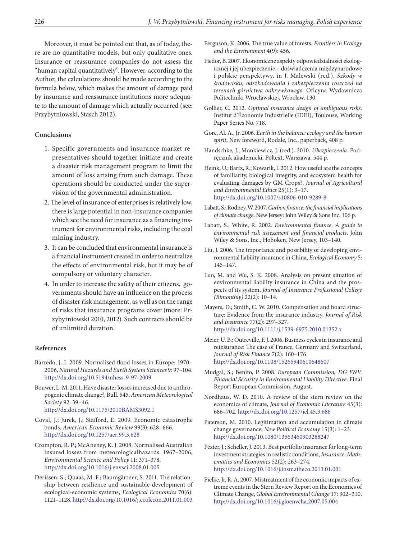Moreover, it must be pointed out that, as of today, there are no quantitative models, but only qualitative ones. Insurance or reassurance companies do not assess the "human capital quantitatively". However, according to the Author, the calculations should be made according to the formula below, which makes the amount of damage paid by insurance and reassurance institutions more adequate to the amount of damage which actually occurred (see: Przybytniowski, Stasch 2012).

#### **Conclusions**

- 1. Specific governments and insurance market representatives should together initiate and create a disaster risk management program to limit the amount of loss arising from such damage. These operations should be conducted under the supervision of the governmental administration.
- 2. The level of insurance of enterprises is relatively low, there is large potential in non-insurance companies which see the need for insurance as a financing instrument for environmental risks, including the coal mining industry.
- 3. It can be concluded that environmental insurance is a financial instrument created in order to neutralize the effects of environmental risk, but it may be of compulsory or voluntary character.
- 4. In order to increase the safety of their citizens, governments should have an influence on the process of disaster risk management, as well as on the range of risks that insurance programs cover (more: Przybytniowski 2010, 2012). Such contracts should be of unlimited duration.

#### **References**

- Barredo, J. I. 2009. Normalised flood losses in Europe: 1970– 2006, *Natural Hazards and Earth System Sciences* 9: 97–104. <http://dx.doi.org/10.5194/nhess-9-97-2009>
- Bouwer, L. M. 2011. Have disaster losses increased due to anthropogenic climate change?, Bull. 545, *American Meteorological Society* 92: 39–46.

<http://dx.doi.org/10.1175/2010BAMS3092.1>

- Coval, J.; Jurek, J.; Stafford, E. 2009. Economic catastrophe bonds, *American Economic Review* 99(3): 628–666. <http://dx.doi.org/10.1257/aer.99.3.628>
- Crompton, R. P.; McAneney, K. J. 2008. Normalised Australian insured losses from meteorologicalhazards: 1967–2006, *Environmental Science and Policy* 11: 371–378. <http://dx.doi.org/10.1016/j.envsci.2008.01.005>
- Derissen, S.; Quaas, M. F.; Baumgärtner, S. 2011. The relationship between resilience and sustainable development of ecological-economic systems, *Ecological Economics* 70(6): 1121–1128.<http://dx.doi.org/10.1016/j.ecolecon.2011.01.003>
- Ferguson, K. 2006. The true value of forests, *Frontiers in Ecology and the Environment* 4(9): 456.
- Fiedor, B. 2007. Ekonomiczne aspekty odpowiedzialności ekologicznej i jej ubezpieczenie – doświadczenia międzynarodowe i polskie perspektywy, in J. Malewski (red.). *Szkody w środowisku, odszkodowania i zabezpieczenia roszczeń na terenach górnictwa odkrywkowego.* Oficyna Wydawnicza Politechniki Wrocławskiej, Wrocław, 130.
- Gollier, C. 2012. *Optimal insurance design of ambiguous risks*. Institut d'Économie Industrielle (IDEI), Toulouse, Working Paper Series No. 718.
- Gore, Al. A., Jr. 2006. *Earth in the balance: ecology and the human spirit*, New foreword, Rodale, Inc., paperback, 408 p.
- Handschke, J.; Monkiewicz, J. (red.). 2010. *Ubezpieczenia*. Podręcznik akademicki. Poltext, Warszawa. 544 p.
- Heink, U.; Bartz, R.; Kowarik, I. 2012. How useful are the concepts of familiarity, biological integrity, and ecosystem health for evaluating damages by GM Crops?, *Journal of Agricultural and Environmental Ethics* 25(1): 3–17. <http://dx.doi.org/10.1007/s10806-010-9289-8>
- Labatt, S.; Rodney, W. 2007. *Carbon finance: the financial implications of climate change*. New Jersey: John Wiley & Sons Inc. 106 p.
- Labatt, S.; White, R. 2002. *Environmental finance. A guide to environmental risk assessment and financial products*. John Wiley & Sons, Inc., Hoboken, New Jersey, 103–140.
- Liu, J. 2006. The importance and possibility of developing environmental liability insurance in China, *Ecological Economy* 5: 145–147.
- Luo, M. and Wu, S. K. 2008. Analysis on present situation of environmental liability insurance in China and the prospects of its system, *Journal of Insurance Professional College (Bimonthly)* 22(2): 10–14.
- Mayers, D.; Smith, C. W. 2010. Compensation and board structure: Evidence from the insurance industry, *Journal of Risk and Insurance* 77(2): 297–327. <http://dx.doi.org/10.1111/j.1539-6975.2010.01352.x>
- Meier, U. B.; Outreville, F. J. 2006. Business cycles in insurance and reinsurance: The case of France, Germany and Switzerland, *Journal of Risk Finance* 7(2): 160–176. <http://dx.doi.org/10.1108/15265940610648607>
- Mudgal, S.; Benito, P. 2008. *European Commission, DG ENV. Financial Security in Environmental Liability Directive*. Final Report European Commission, August.
- Nordhaus, W. D. 2010. A review of the stern review on the economics of climate, *Journal of Economic Literature* 45(3): 686–702.<http://dx.doi.org/10.1257/jel.45.3.686>
- Paterson, M. 2010. Legitimation and accumulation in climate change governance, *New Political Economy* 15(3): 1–23. <http://dx.doi.org/10.1080/13563460903288247>
- Pézier, J.; Scheller, J. 2013. Best portfolio insurance for long-term investment strategies in realistic conditions, *Insurance: Mathematics and Economics* 52(2): 263–274. <http://dx.doi.org/10.1016/j.insmatheco.2013.01.001>
- Pielke, Jr. R. A. 2007. Mistreatment of the economic impacts of extreme events in the Stern Review Report on the Economics of Climate Change, *Global Environmental Change* 17: 302–310. <http://dx.doi.org/10.1016/j.gloenvcha.2007.05.004>